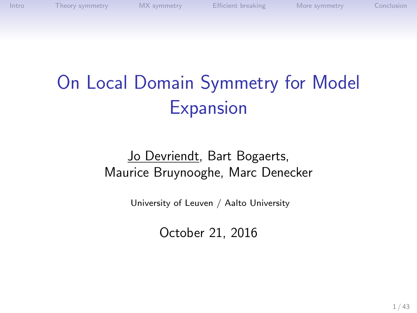# On Local Domain Symmetry for Model **Expansion**

#### Jo Devriendt, Bart Bogaerts, Maurice Bruynooghe, Marc Denecker

University of Leuven / Aalto University

October 21, 2016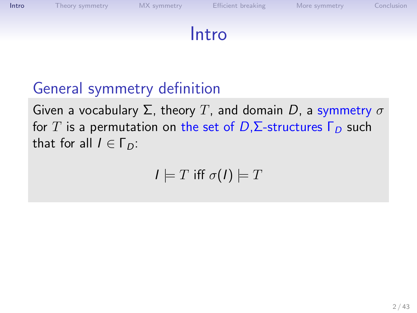

#### General symmetry definition

Given a vocabulary  $\Sigma$ , theory T, and domain D, a symmetry  $\sigma$ for T is a permutation on the set of  $D$ ,  $\Sigma$ -structures  $\Gamma_D$  such that for all  $I \in \Gamma_D$ :

<span id="page-1-0"></span>
$$
I \models T \text{ iff } \sigma(I) \models T
$$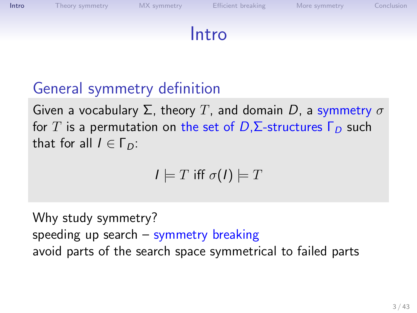

#### General symmetry definition

Given a vocabulary  $\Sigma$ , theory T, and domain D, a symmetry  $\sigma$ for T is a permutation on the set of  $D$ ,  $\Sigma$ -structures  $\Gamma_D$  such that for all  $I \in \Gamma_D$ :

$$
I \models T \text{ iff } \sigma(I) \models T
$$

Why study symmetry? speeding up search – symmetry breaking avoid parts of the search space symmetrical to failed parts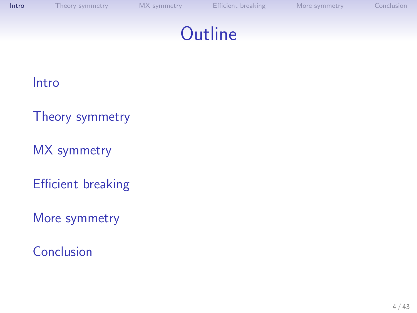#### **Outline**

#### [Intro](#page-1-0)

- [Theory symmetry](#page-4-0)
- [MX symmetry](#page-21-0)
- [Efficient breaking](#page-34-0)
- [More symmetry](#page-39-0)
- [Conclusion](#page-40-0)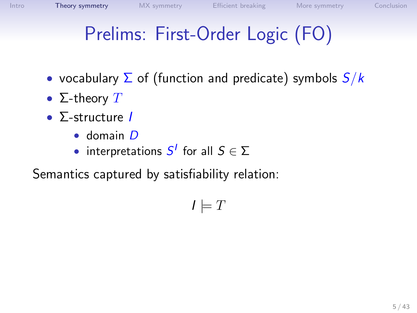# Prelims: First-Order Logic (FO)

- vocabulary  $\Sigma$  of (function and predicate) symbols  $S/k$
- $\Sigma$ -theory  $T$
- $\Sigma$ -structure I
	- domain D
	- interpretations  $S^I$  for all  $S \in \Sigma$

Semantics captured by satisfiability relation:

<span id="page-4-0"></span> $I \models T$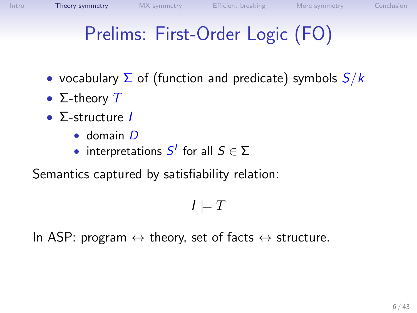# Prelims: First-Order Logic (FO)

- vocabulary  $\Sigma$  of (function and predicate) symbols  $S/k$
- $\Sigma$ -theory  $T$
- $\Sigma$ -structure I
	- domain D
	- interpretations  $S^I$  for all  $S \in \Sigma$

Semantics captured by satisfiability relation:

 $I \models T$ 

In ASP: program  $\leftrightarrow$  theory, set of facts  $\leftrightarrow$  structure.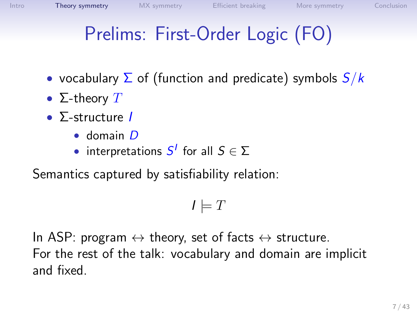# Prelims: First-Order Logic (FO)

- vocabulary  $\Sigma$  of (function and predicate) symbols  $S/k$
- $\Sigma$ -theory  $T$
- $\Sigma$ -structure I
	- domain D
	- interpretations  $S^I$  for all  $S \in \Sigma$

Semantics captured by satisfiability relation:

 $I \models T$ 

In ASP: program  $\leftrightarrow$  theory, set of facts  $\leftrightarrow$  structure. For the rest of the talk: vocabulary and domain are implicit and fixed.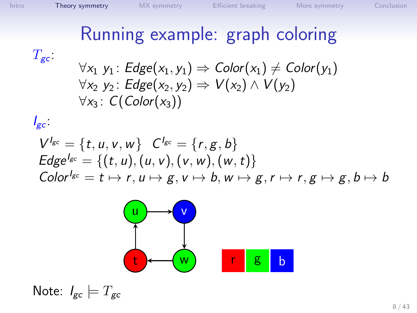## Running example: graph coloring

 $T_{\rm gc}$ 

$$
\forall x_1 \ y_1: Edge(x_1, y_1) \Rightarrow Color(x_1) \ne Color(y_1) \n\forall x_2 \ y_2: Edge(x_2, y_2) \Rightarrow V(x_2) \land V(y_2) \n\forall x_3: C(Color(x_3))
$$

$$
I_{gc}.
$$

$$
V^{l_{gc}} = \{t, u, v, w\} \quad C^{l_{gc}} = \{r, g, b\}
$$
  
Edge<sup>l\_{gc}</sup> = \{(t, u), (u, v), (v, w), (w, t)\}  
Color<sup>l\_{gc}</sup> = t \mapsto r, u \mapsto g, v \mapsto b, w \mapsto g, r \mapsto r, g \mapsto g, b \mapsto b



Note:  $I_{gc} \models T_{gc}$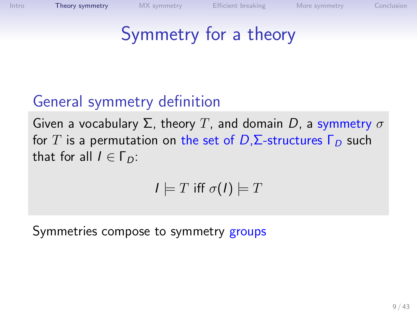## Symmetry for a theory

#### General symmetry definition

Given a vocabulary  $\Sigma$ , theory T, and domain D, a symmetry  $\sigma$ for T is a permutation on the set of  $D$ ,  $\Sigma$ -structures  $\Gamma_D$  such that for all  $I \in \Gamma_D$ :

$$
I \models T \text{ iff } \sigma(I) \models T
$$

Symmetries compose to symmetry groups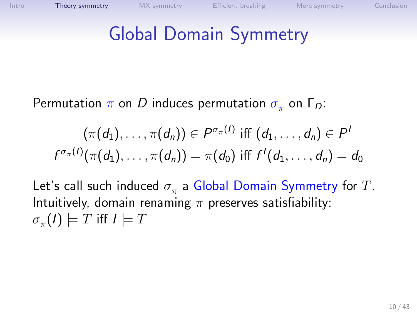#### Global Domain Symmetry

Permutation  $\pi$  on  $D$  induces permutation  $\sigma_{\pi}$  on  $\Gamma_D$ :

$$
(\pi(d_1),\ldots,\pi(d_n))\in P^{\sigma_{\pi}(I)} \text{ iff } (d_1,\ldots,d_n)\in P^I
$$
  

$$
f^{\sigma_{\pi}(I)}(\pi(d_1),\ldots,\pi(d_n))=\pi(d_0) \text{ iff } f^I(d_1,\ldots,d_n)=d_0
$$

Let's call such induced  $\sigma_\pi$  a Global Domain Symmetry for  $T.$ Intuitively, domain renaming  $\pi$  preserves satisfiability:  $\sigma_\pi(I) \models T$  iff  $I \models T$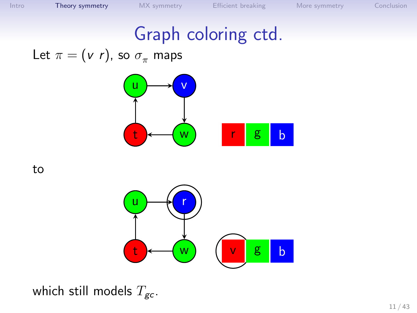#### Graph coloring ctd.

Let  $\pi = (v \; r)$ , so  $\sigma_{\pi}$  maps



to



which still models  $T_{gc}$ .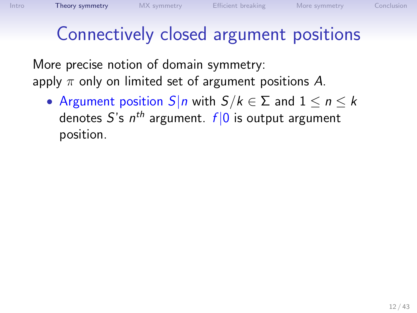### Connectively closed argument positions

More precise notion of domain symmetry: apply  $\pi$  only on limited set of argument positions A.

• Argument position  $S|n$  with  $S/k \in \Sigma$  and  $1 \le n \le k$ denotes  $S$ 's  $n^{th}$  argument.  $f|\mathbb{0}$  is output argument position.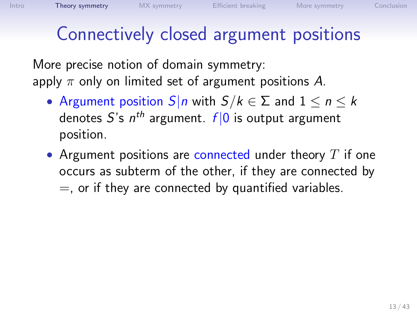#### Connectively closed argument positions

More precise notion of domain symmetry: apply  $\pi$  only on limited set of argument positions A.

- Argument position  $S|n$  with  $S/k \in \Sigma$  and  $1 \le n \le k$ denotes  $S$ 's  $n^{th}$  argument.  $f|\mathbb{0}$  is output argument position.
- Argument positions are connected under theory  $T$  if one occurs as subterm of the other, if they are connected by  $=$ , or if they are connected by quantified variables.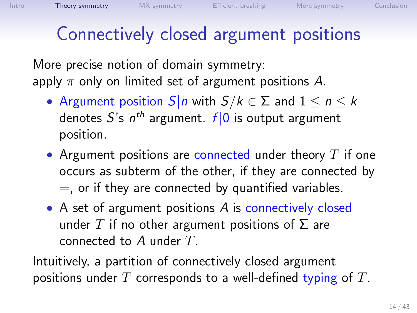#### Connectively closed argument positions

More precise notion of domain symmetry: apply  $\pi$  only on limited set of argument positions A.

- Argument position  $S|n$  with  $S/k \in \Sigma$  and  $1 \le n \le k$ denotes  $S$ 's  $n^{th}$  argument.  $f|\mathbb{0}$  is output argument position.
- Argument positions are connected under theory  $T$  if one occurs as subterm of the other, if they are connected by  $=$ , or if they are connected by quantified variables.
- A set of argument positions A is connectively closed under T if no other argument positions of  $\Sigma$  are connected to  $A$  under  $T$ .

Intuitively, a partition of connectively closed argument positions under T corresponds to a well-defined typing of T.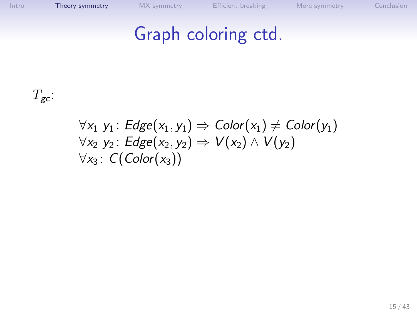### Graph coloring ctd.

 $T_{\text{gc}}$ :

#### $\forall x_1 \; y_1 : Edge(x_1, y_1) \Rightarrow Color(x_1) \ne Color(y_1)$  $\forall x_2 \; y_2$ : Edge $(x_2, y_2) \Rightarrow V(x_2) \wedge V(y_2)$  $\forall x_3 : C(Color(x_3))$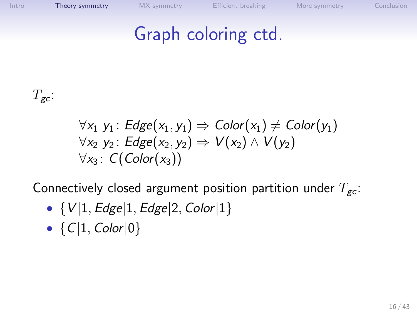## Graph coloring ctd.

 $T_{\text{gc}}$ :

$$
\forall x_1 \ y_1: Edge(x_1, y_1) \Rightarrow Color(x_1) \ne Color(y_1)
$$
  
\n
$$
\forall x_2 \ y_2: Edge(x_2, y_2) \Rightarrow V(x_2) \land V(y_2)
$$
  
\n
$$
\forall x_3: C(Color(x_3))
$$

Connectively closed argument position partition under  $T_{gc}$ :

- $\{V|1, Edge|1, Edge|2, Color|1\}$
- ${C|1, Color|0}$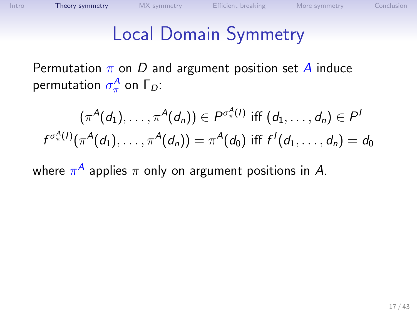#### Local Domain Symmetry

Permutation  $\pi$  on D and argument position set A induce permutation  $\sigma_{\pi}^{\mathcal{A}}$  on  $\mathsf{\Gamma}_{D}$ :

$$
(\pi^A(d_1),\ldots,\pi^A(d_n))\in P^{\sigma^A_{\pi}(I)}
$$
 iff  $(d_1,\ldots,d_n)\in P^I$   

$$
f^{\sigma^A_{\pi}(I)}(\pi^A(d_1),\ldots,\pi^A(d_n))=\pi^A(d_0)
$$
 iff  $f^I(d_1,\ldots,d_n)=d_0$ 

where  $\pi^A$  applies  $\pi$  only on argument positions in  $A$ .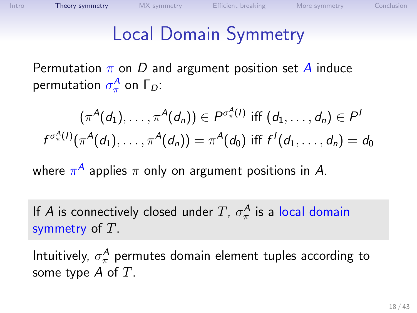#### Local Domain Symmetry

Permutation  $\pi$  on D and argument position set A induce permutation  $\sigma_{\pi}^{\mathcal{A}}$  on  $\mathsf{\Gamma}_{D}$ :

$$
(\pi^A(d_1),\ldots,\pi^A(d_n))\in P^{\sigma^A_{\pi}(I)}
$$
 iff  $(d_1,\ldots,d_n)\in P^I$   

$$
f^{\sigma^A_{\pi}(I)}(\pi^A(d_1),\ldots,\pi^A(d_n))=\pi^A(d_0)
$$
 iff  $f^I(d_1,\ldots,d_n)=d_0$ 

where  $\pi^A$  applies  $\pi$  only on argument positions in  $A$ .

If A is connectively closed under  $T$ ,  $\sigma_\pi^{\mathcal{A}}$  is a local domain symmetry of  $T$ .

Intuitively,  $\sigma_\pi^{\mathcal{A}}$  permutes domain element tuples according to some type  $A$  of  $T$ .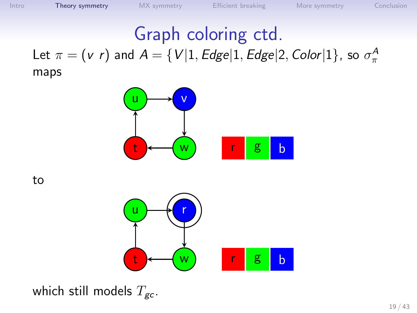#### Graph coloring ctd. Let  $\pi=(v \; r)$  and  $A=\{V|1, E dge|1, E dge|2, Color|1\}$ , so  $\sigma_{\pi}^{A}$ maps



to



which still models  $T_{gc}$ .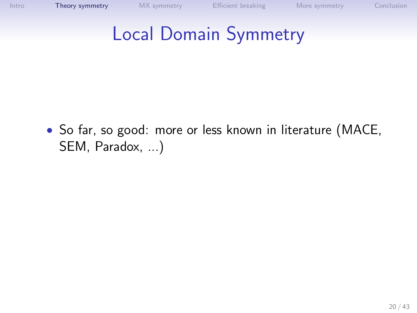## Local Domain Symmetry

• So far, so good: more or less known in literature (MACE, SEM, Paradox, ...)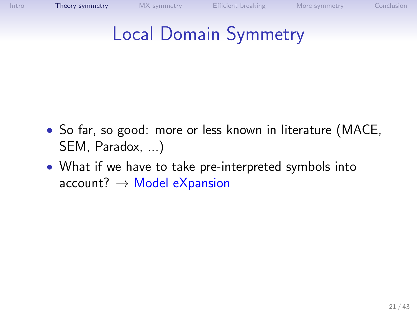## Local Domain Symmetry

- So far, so good: more or less known in literature (MACE, SEM, Paradox, ...)
- What if we have to take pre-interpreted symbols into  $account? \rightarrow Model$  eXpansion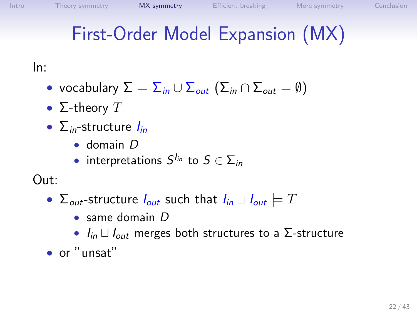# First-Order Model Expansion (MX)

In:

- vocabulary  $\Sigma = \sum_{in} \bigcup \sum_{out} (\sum_{in} \cap \Sigma_{out} = \emptyset)$
- $\Sigma$ -theory  $T$
- $\sum_{in}$ -structure  $I_{in}$ 
	- domain D
	- $\bullet$  interpretations  $S^{I_{in}}$  to  $S \in \Sigma_{in}$

Out:

- $\Sigma_{out}$ -structure  $I_{out}$  such that  $I_{in} \sqcup I_{out} \models T$ 
	- $\bullet$  same domain  $D$
	- $I_{in} \sqcup I_{out}$  merges both structures to a Σ-structure
- <span id="page-21-0"></span>• or "unsat"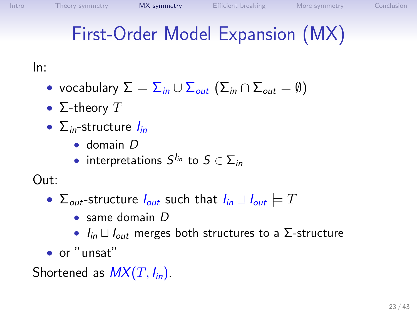# First-Order Model Expansion (MX)

In:

- vocabulary  $\Sigma = \sum_{in} \bigcup \sum_{out} (\sum_{in} \cap \Sigma_{out} = \emptyset)$
- $\Sigma$ -theory  $T$
- $\sum_{in}$ -structure  $I_{in}$ 
	- domain D
	- $\bullet$  interpretations  $S^{I_{in}}$  to  $S \in \Sigma_{in}$

Out:

- $\Sigma_{out}$ -structure  $I_{out}$  such that  $I_{in} \sqcup I_{out} \models T$ 
	- $\bullet$  same domain  $D$
	- $I_{in} \sqcup I_{out}$  merges both structures to a Σ-structure
- or "unsat"

Shortened as  $MX(T, I<sub>in</sub>)$ .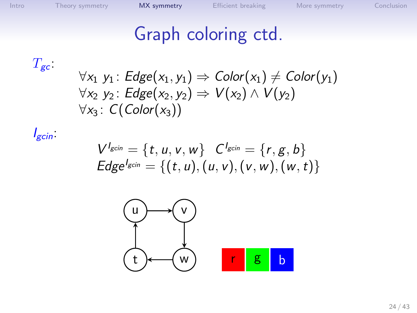## Graph coloring ctd.

 $T_{\rm gc}$ 

$$
\forall x_1 \ y_1: Edge(x_1, y_1) \Rightarrow Color(x_1) \ne Color(y_1)
$$
  

$$
\forall x_2 \ y_2: Edge(x_2, y_2) \Rightarrow V(x_2) \land V(y_2)
$$
  

$$
\forall x_3: C(Color(x_3))
$$

 $I_{gcin}$ :

$$
V^{I_{gcin}} = \{t, u, v, w\} \quad C^{I_{gcin}} = \{r, g, b\}
$$
  
Edge<sup>I\_{gcin</sup> = \{(t, u), (u, v), (v, w), (w, t)\}

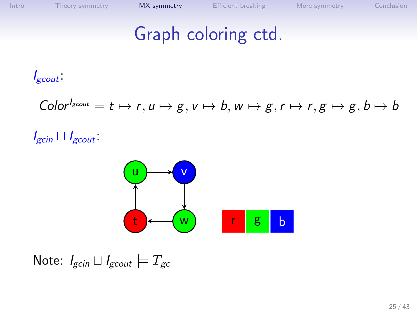#### Graph coloring ctd.

 $I_{\text{g} \text{cut}}$ 

$$
Color^{l_{\text{g}cont}} = t \mapsto r, u \mapsto g, v \mapsto b, w \mapsto g, r \mapsto r, g \mapsto g, b \mapsto b
$$

 $I_{\text{gcin}} \sqcup I_{\text{gcourt}}$ 



Note:  $I_{\text{gcin}} \sqcup I_{\text{gcont}} \models T_{\text{gc}}$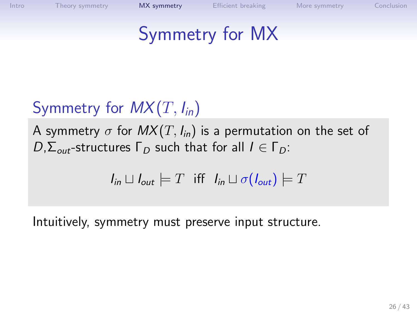#### Symmetry for MX

#### Symmetry for  $MX(T, I<sub>in</sub>)$

A symmetry  $\sigma$  for  $MX(T, I_{in})$  is a permutation on the set of  $D$ , $\Sigma_{out}$ -structures  $\Gamma_D$  such that for all  $I \in \Gamma_D$ :

$$
I_{in} \sqcup I_{out} \models T \text{ iff } I_{in} \sqcup \sigma(I_{out}) \models T
$$

Intuitively, symmetry must preserve input structure.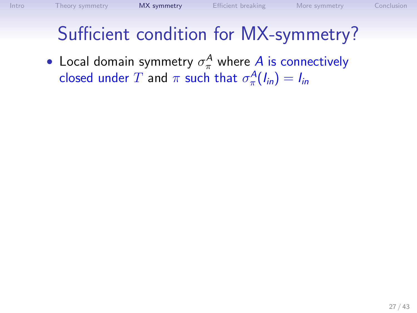## Sufficient condition for MX-symmetry?

• Local domain symmetry  $\sigma_\pi^A$  where  $A$  is connectively closed under  $T$  and  $\pi$  such that  $\sigma_{\pi}^{A}(I_{in})=I_{in}$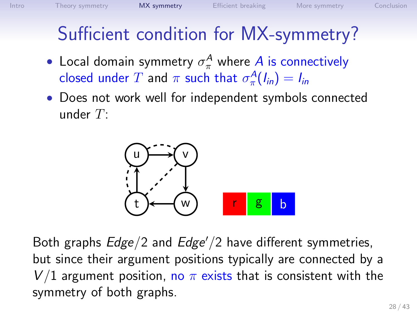### Sufficient condition for MX-symmetry?

- Local domain symmetry  $\sigma_\pi^A$  where  $A$  is connectively closed under  $T$  and  $\pi$  such that  $\sigma_{\pi}^{A}(I_{in})=I_{in}$
- Does not work well for independent symbols connected under  $T$ :



Both graphs  $Edge/2$  and  $Edge/2$  have different symmetries, but since their argument positions typically are connected by a V/1 argument position, no  $\pi$  exists that is consistent with the symmetry of both graphs.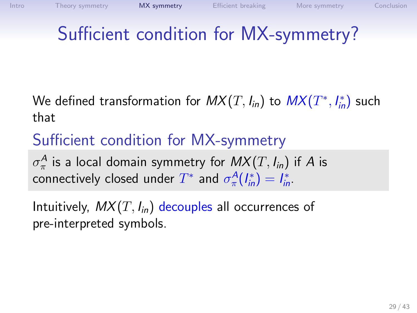# Sufficient condition for MX-symmetry?

We defined transformation for  $\mathit{MX}(T,\mathit{I}_{\mathit{in}})$  to  $\mathit{MX}(T^*,\mathit{I}_{\mathit{in}}^*)$  such that

#### Sufficient condition for MX-symmetry

 $\sigma_\pi^{\mathcal{A}}$  is a local domain symmetry for  $\mathit{MX}(T, \mathit{l}_{\mathsf{in}})$  if  $\mathcal A$  is connectively closed under  $T^*$  and  $\sigma_{\pi}^A(I^*_{in})=I^*_{in}$ .

Intuitively,  $MX(T, I_{in})$  decouples all occurrences of pre-interpreted symbols.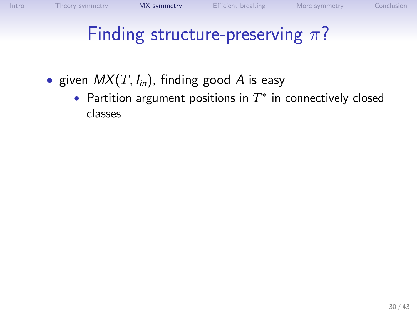- given  $MX(T, I_{in})$ , finding good A is easy
	- Partition argument positions in  $T^*$  in connectively closed classes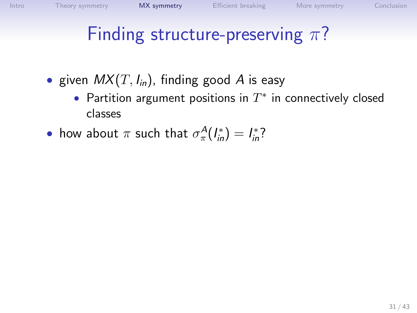• given  $MX(T, I_{in})$ , finding good A is easy

- Partition argument positions in  $T^*$  in connectively closed classes
- how about  $\pi$  such that  $\sigma_{\pi}^{A}(I_{in}^{*})=I_{in}^{*}$ ?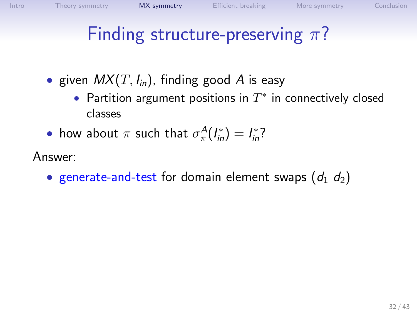- given  $MX(T, I<sub>in</sub>)$ , finding good A is easy
	- Partition argument positions in  $T^*$  in connectively closed classes
- how about  $\pi$  such that  $\sigma_{\pi}^{A}(I_{in}^{*})=I_{in}^{*}$ ?

Answer:

• generate-and-test for domain element swaps  $(d_1, d_2)$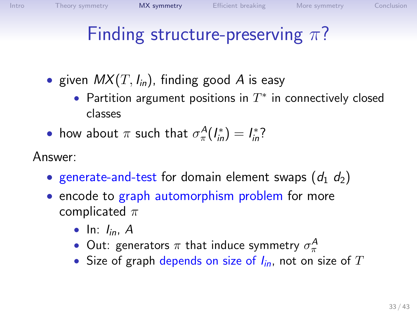- given  $MX(T, I<sub>in</sub>)$ , finding good A is easy
	- Partition argument positions in  $T^*$  in connectively closed classes
- how about  $\pi$  such that  $\sigma_{\pi}^{A}(I_{in}^{*})=I_{in}^{*}$ ?

Answer:

- generate-and-test for domain element swaps  $(d_1, d_2)$
- encode to graph automorphism problem for more complicated  $\pi$ 
	- In:  $l_{in}$ , A
	- Out: generators  $\pi$  that induce symmetry  $\sigma_{\pi}^{\mathcal{A}}$
	- Size of graph depends on size of  $I_{in}$ , not on size of T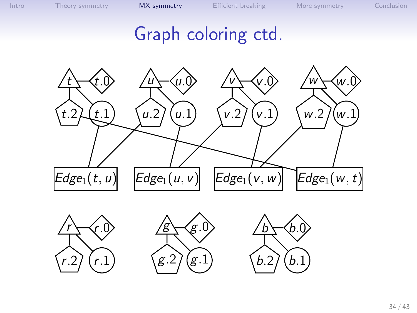#### Graph coloring ctd.







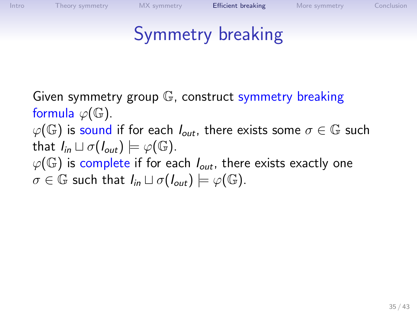## <span id="page-34-0"></span>Symmetry breaking

Given symmetry group G, construct symmetry breaking formula  $\varphi(\mathbb{G})$ .

 $\varphi(\mathbb{G})$  is sound if for each  $I_{out}$ , there exists some  $\sigma \in \mathbb{G}$  such that  $I_{in} \sqcup \sigma(I_{out}) \models \varphi(\mathbb{G}).$ 

 $\varphi(\mathbb{G})$  is complete if for each  $I_{out}$ , there exists exactly one  $\sigma \in \mathbb{G}$  such that  $I_{in} \sqcup \sigma(I_{out}) \models \varphi(\mathbb{G}).$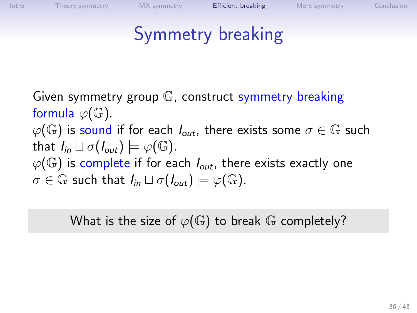## Symmetry breaking

Given symmetry group G, construct symmetry breaking formula  $\varphi(\mathbb{G})$ .  $\varphi(\mathbb{G})$  is sound if for each  $I_{out}$ , there exists some  $\sigma \in \mathbb{G}$  such that  $I_{in} \sqcup \sigma(I_{out}) \models \varphi(\mathbb{G}).$  $\varphi(\mathbb{G})$  is complete if for each  $I_{out}$ , there exists exactly one  $\sigma \in \mathbb{G}$  such that  $I_{in} \sqcup \sigma(I_{out}) \models \varphi(\mathbb{G}).$ 

What is the size of  $\varphi(\mathbb{G})$  to break  $\mathbb G$  completely?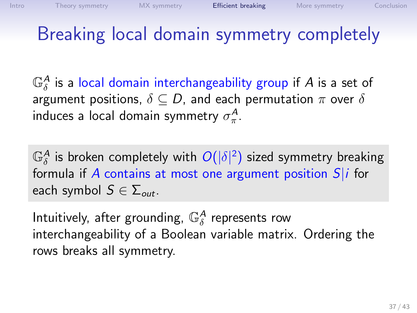## Breaking local domain symmetry completely

 $\mathbb{G}_\delta^A$  is a local domain interchangeability group if  $A$  is a set of argument positions,  $\delta \subset D$ , and each permutation  $\pi$  over  $\delta$ induces a local domain symmetry  $\sigma_{\pi}^{\mathcal{A}}$ .

 $\mathbb{G}_\delta^A$  is broken completely with  $O(|\delta|^2)$  sized symmetry breaking formula if  $A$  contains at most one argument position  $S|i$  for each symbol  $S \in \Sigma_{out}$ .

Intuitively, after grounding,  $\mathbb{G}_\delta^A$  represents row interchangeability of a Boolean variable matrix. Ordering the rows breaks all symmetry.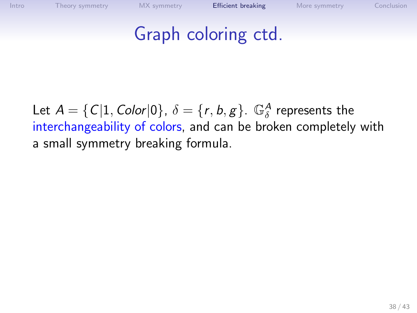### Graph coloring ctd.

Let  $A = \{C|1, Color|0\}$ ,  $\delta = \{r, b, g\}$ .  $\mathbb{G}^A_{\delta}$  represents the interchangeability of colors, and can be broken completely with a small symmetry breaking formula.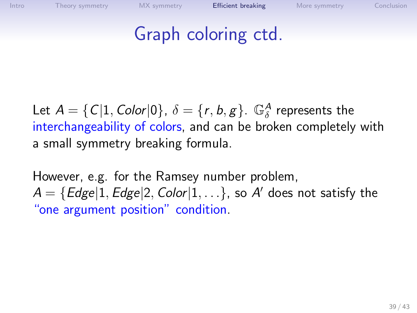## Graph coloring ctd.

Let  $A = \{C|1, Color|0\}$ ,  $\delta = \{r, b, g\}$ .  $\mathbb{G}^A_{\delta}$  represents the interchangeability of colors, and can be broken completely with a small symmetry breaking formula.

However, e.g. for the Ramsey number problem,  $\mathcal{A} = \{ Edge | 1, Edge | 2, Color | 1, \ldots \}$ , so  $\mathcal{A}'$  does not satisfy the "one argument position" condition.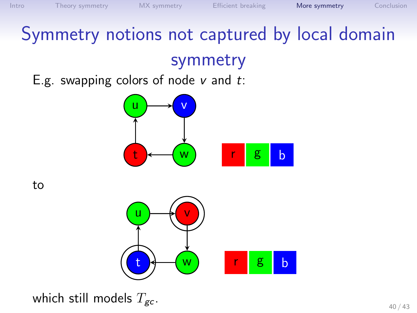## Symmetry notions not captured by local domain symmetry

E.g. swapping colors of node  $v$  and  $t$ :



to

<span id="page-39-0"></span>

which still models  $T_{gc}$ .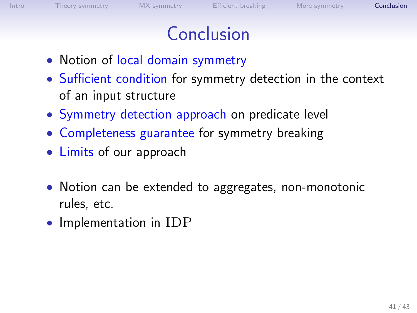### Conclusion

- Notion of local domain symmetry
- Sufficient condition for symmetry detection in the context of an input structure
- Symmetry detection approach on predicate level
- Completeness guarantee for symmetry breaking
- Limits of our approach
- Notion can be extended to aggregates, non-monotonic rules, etc.
- <span id="page-40-0"></span>• Implementation in IDP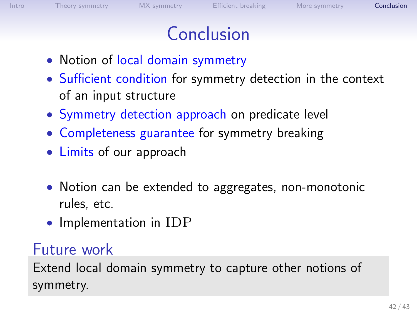### Conclusion

- Notion of local domain symmetry
- Sufficient condition for symmetry detection in the context of an input structure
- Symmetry detection approach on predicate level
- Completeness guarantee for symmetry breaking
- Limits of our approach
- Notion can be extended to aggregates, non-monotonic rules, etc.
- Implementation in IDP

#### Future work

Extend local domain symmetry to capture other notions of symmetry.